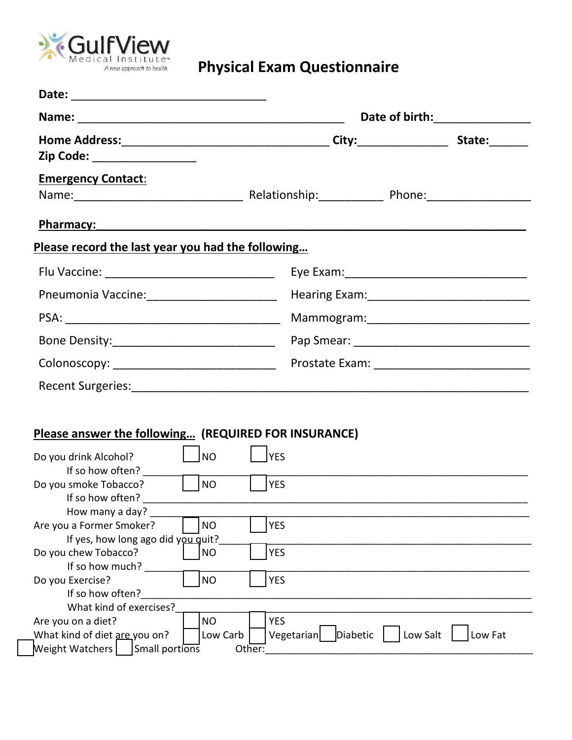

|                                                                    |           | Date of birth: <u>container and the set of birth:</u>                                                               |          |         |  |
|--------------------------------------------------------------------|-----------|---------------------------------------------------------------------------------------------------------------------|----------|---------|--|
| Zip Code: __________________                                       |           |                                                                                                                     |          |         |  |
| <b>Emergency Contact:</b>                                          |           |                                                                                                                     |          |         |  |
| Pharmacy:                                                          |           | <u> 1980 - Jan Samuel Barbara, margaret ar brezhon eo ar brezhon evel a brezhon evel an den brezhon evel an den</u> |          |         |  |
| Please record the last year you had the following                  |           |                                                                                                                     |          |         |  |
| Flu Vaccine: __________________________________                    |           |                                                                                                                     |          |         |  |
| Pneumonia Vaccine: __________________________                      |           |                                                                                                                     |          |         |  |
|                                                                    |           |                                                                                                                     |          |         |  |
|                                                                    |           |                                                                                                                     |          |         |  |
| Colonoscopy: _______________________________                       |           |                                                                                                                     |          |         |  |
|                                                                    |           |                                                                                                                     |          |         |  |
|                                                                    |           |                                                                                                                     |          |         |  |
| Please answer the following (REQUIRED FOR INSURANCE)               |           |                                                                                                                     |          |         |  |
| Do you drink Alcohol?                                              | <b>NO</b> | <b>YES</b>                                                                                                          |          |         |  |
| If so how often?<br>Do you smoke Tobacco?                          | l Ino     | <b>YES</b>                                                                                                          |          |         |  |
| How many a day?                                                    |           |                                                                                                                     |          |         |  |
| Are you a Former Smoker?<br>If yes, how long ago did you quit?     | <b>NO</b> | <b>YES</b>                                                                                                          |          |         |  |
| Do you chew Tobacco?<br>If so how much?                            | <b>NO</b> | <b>YES</b>                                                                                                          |          |         |  |
| Do you Exercise?                                                   | <b>NO</b> | <b>YES</b>                                                                                                          |          |         |  |
| If so how often?<br>What kind of exercises?                        |           |                                                                                                                     |          |         |  |
| Are you on a diet?                                                 | <b>NO</b> | <b>YES</b>                                                                                                          |          |         |  |
| What kind of diet are you on?<br>Weight Watchers<br>Small portions | Low Carb  | Diabetic<br>Vegetarian<br>Other:                                                                                    | Low Salt | Low Fat |  |